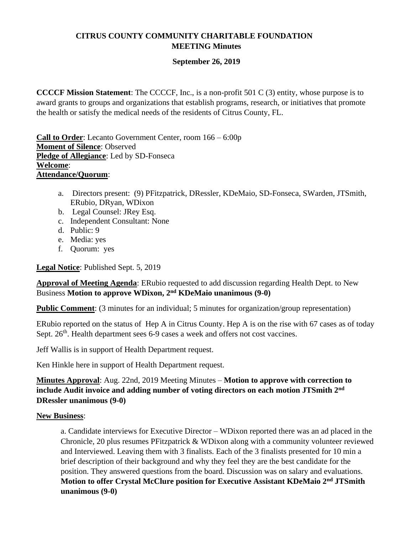# **CITRUS COUNTY COMMUNITY CHARITABLE FOUNDATION MEETING Minutes**

# **September 26, 2019**

**CCCCF Mission Statement**: The CCCCF, Inc., is a non-profit 501 C (3) entity, whose purpose is to award grants to groups and organizations that establish programs, research, or initiatives that promote the health or satisfy the medical needs of the residents of Citrus County, FL.

**Call to Order**: Lecanto Government Center, room 166 – 6:00p **Moment of Silence**: Observed **Pledge of Allegiance**: Led by SD-Fonseca **Welcome**: **Attendance/Quorum**:

- a. Directors present: (9) PFitzpatrick, DRessler, KDeMaio, SD-Fonseca, SWarden, JTSmith, ERubio, DRyan, WDixon
- b. Legal Counsel: JRey Esq.
- c. Independent Consultant: None
- d. Public: 9
- e. Media: yes
- f. Quorum: yes

**Legal Notice**: Published Sept. 5, 2019

**Approval of Meeting Agenda**: ERubio requested to add discussion regarding Health Dept. to New Business **Motion to approve WDixon, 2nd KDeMaio unanimous (9-0)**

**Public Comment:** (3 minutes for an individual; 5 minutes for organization/group representation)

ERubio reported on the status of Hep A in Citrus County. Hep A is on the rise with 67 cases as of today Sept. 26<sup>th</sup>. Health department sees 6-9 cases a week and offers not cost vaccines.

Jeff Wallis is in support of Health Department request.

Ken Hinkle here in support of Health Department request.

**Minutes Approval**: Aug. 22nd, 2019 Meeting Minutes – **Motion to approve with correction to include Audit invoice and adding number of voting directors on each motion JTSmith 2nd DRessler unanimous (9-0)**

# **New Business**:

a. Candidate interviews for Executive Director – WDixon reported there was an ad placed in the Chronicle, 20 plus resumes PFitzpatrick & WDixon along with a community volunteer reviewed and Interviewed. Leaving them with 3 finalists. Each of the 3 finalists presented for 10 min a brief description of their background and why they feel they are the best candidate for the position. They answered questions from the board. Discussion was on salary and evaluations. **Motion to offer Crystal McClure position for Executive Assistant KDeMaio 2nd JTSmith unanimous (9-0)**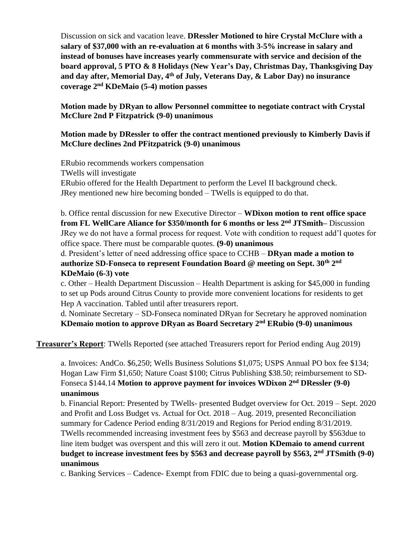Discussion on sick and vacation leave. **DRessler Motioned to hire Crystal McClure with a salary of \$37,000 with an re-evaluation at 6 months with 3-5% increase in salary and instead of bonuses have increases yearly commensurate with service and decision of the board approval, 5 PTO & 8 Holidays (New Year's Day, Christmas Day, Thanksgiving Day and day after, Memorial Day, 4 th of July, Veterans Day, & Labor Day) no insurance coverage 2nd KDeMaio (5-4) motion passes**

#### **Motion made by DRyan to allow Personnel committee to negotiate contract with Crystal McClure 2nd P Fitzpatrick (9-0) unanimous**

### **Motion made by DRessler to offer the contract mentioned previously to Kimberly Davis if McClure declines 2nd PFitzpatrick (9-0) unanimous**

ERubio recommends workers compensation TWells will investigate ERubio offered for the Health Department to perform the Level II background check. JRey mentioned new hire becoming bonded – TWells is equipped to do that.

b. Office rental discussion for new Executive Director – **WDixon motion to rent office space from FL WellCare Aliance for \$350/month for 6 months or less 2nd JTSmith–** Discussion JRey we do not have a formal process for request. Vote with condition to request add'l quotes for office space. There must be comparable quotes. **(9-0) unanimous**

d. President's letter of need addressing office space to CCHB – **DRyan made a motion to authorize SD-Fonseca to represent Foundation Board @ meeting on Sept. 30th 2 nd KDeMaio (6-3) vote**

c. Other – Health Department Discussion – Health Department is asking for \$45,000 in funding to set up Pods around Citrus County to provide more convenient locations for residents to get Hep A vaccination. Tabled until after treasurers report.

d. Nominate Secretary – SD-Fonseca nominated DRyan for Secretary he approved nomination **KDemaio motion to approve DRyan as Board Secretary 2nd ERubio (9-0) unanimous**

**Treasurer's Report**: TWells Reported (see attached Treasurers report for Period ending Aug 2019)

a. Invoices: AndCo. \$6,250; Wells Business Solutions \$1,075; USPS Annual PO box fee \$134; Hogan Law Firm \$1,650; Nature Coast \$100; Citrus Publishing \$38.50; reimbursement to SD-Fonseca \$144.14 **Motion to approve payment for invoices WDixon 2nd DRessler (9-0) unanimous**

b. Financial Report: Presented by TWells- presented Budget overview for Oct. 2019 – Sept. 2020 and Profit and Loss Budget vs. Actual for Oct. 2018 – Aug. 2019, presented Reconciliation summary for Cadence Period ending 8/31/2019 and Regions for Period ending 8/31/2019. TWells recommended increasing investment fees by \$563 and decrease payroll by \$563due to line item budget was overspent and this will zero it out. **Motion KDemaio to amend current budget to increase investment fees by \$563 and decrease payroll by \$563, 2nd JTSmith (9-0) unanimous**

c. Banking Services – Cadence- Exempt from FDIC due to being a quasi-governmental org.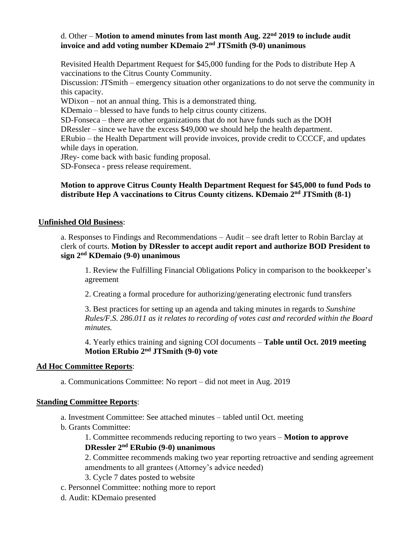# d. Other – **Motion to amend minutes from last month Aug. 22nd 2019 to include audit invoice and add voting number KDemaio 2nd JTSmith (9-0) unanimous**

Revisited Health Department Request for \$45,000 funding for the Pods to distribute Hep A vaccinations to the Citrus County Community.

Discussion: JTSmith – emergency situation other organizations to do not serve the community in this capacity.

WDixon – not an annual thing. This is a demonstrated thing.

KDemaio – blessed to have funds to help citrus county citizens.

SD-Fonseca – there are other organizations that do not have funds such as the DOH

DRessler – since we have the excess \$49,000 we should help the health department.

ERubio – the Health Department will provide invoices, provide credit to CCCCF, and updates while days in operation.

JRey- come back with basic funding proposal.

SD-Fonseca - press release requirement.

# **Motion to approve Citrus County Health Department Request for \$45,000 to fund Pods to distribute Hep A vaccinations to Citrus County citizens. KDemaio 2nd JTSmith (8-1)**

#### **Unfinished Old Business**:

a. Responses to Findings and Recommendations – Audit – see draft letter to Robin Barclay at clerk of courts. **Motion by DRessler to accept audit report and authorize BOD President to sign 2nd KDemaio (9-0) unanimous**

1. Review the Fulfilling Financial Obligations Policy in comparison to the bookkeeper's agreement

2. Creating a formal procedure for authorizing/generating electronic fund transfers

3. Best practices for setting up an agenda and taking minutes in regards to *Sunshine Rules/F.S. 286.011 as it relates to recording of votes cast and recorded within the Board minutes.*

4. Yearly ethics training and signing COI documents – **Table until Oct. 2019 meeting Motion ERubio 2nd JTSmith (9-0) vote**

#### **Ad Hoc Committee Reports**:

a. Communications Committee: No report – did not meet in Aug. 2019

#### **Standing Committee Reports**:

a. Investment Committee: See attached minutes – tabled until Oct. meeting

b. Grants Committee:

1. Committee recommends reducing reporting to two years – **Motion to approve DRessler 2nd ERubio (9-0) unanimous**

2. Committee recommends making two year reporting retroactive and sending agreement amendments to all grantees (Attorney's advice needed)

3. Cycle 7 dates posted to website

- c. Personnel Committee: nothing more to report
- d. Audit: KDemaio presented